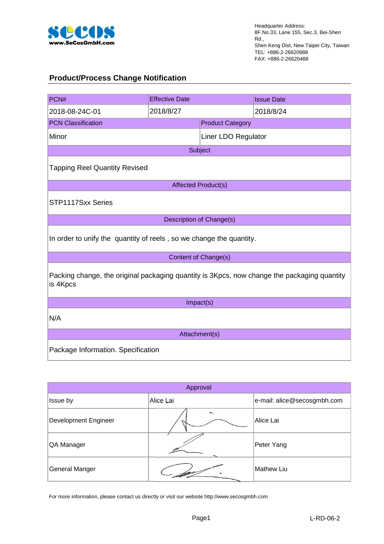

## **Product/Process Change Notification**

| PCN#                                                                                                    | <b>Effective Date</b>      |                         | <b>Issue Date</b> |  |  |
|---------------------------------------------------------------------------------------------------------|----------------------------|-------------------------|-------------------|--|--|
| 2018-08-24C-01                                                                                          | 2018/8/27                  |                         | 2018/8/24         |  |  |
| <b>PCN Classification</b>                                                                               |                            | <b>Product Category</b> |                   |  |  |
| Minor                                                                                                   |                            | Liner LDO Regulator     |                   |  |  |
|                                                                                                         |                            | Subject                 |                   |  |  |
| <b>Tapping Reel Quantity Revised</b>                                                                    |                            |                         |                   |  |  |
|                                                                                                         | <b>Affected Product(s)</b> |                         |                   |  |  |
| STP1117Sxx Series                                                                                       |                            |                         |                   |  |  |
|                                                                                                         | Description of Change(s)   |                         |                   |  |  |
| In order to unify the quantity of reels, so we change the quantity.                                     |                            |                         |                   |  |  |
| Content of Change(s)                                                                                    |                            |                         |                   |  |  |
| Packing change, the original packaging quantity is 3Kpcs, now change the packaging quantity<br>is 4Kpcs |                            |                         |                   |  |  |
| Impact(s)                                                                                               |                            |                         |                   |  |  |
| N/A                                                                                                     |                            |                         |                   |  |  |
| Attachment(s)                                                                                           |                            |                         |                   |  |  |
| Package Information. Specification                                                                      |                            |                         |                   |  |  |

| Approval              |           |                             |  |  |  |
|-----------------------|-----------|-----------------------------|--|--|--|
| Issue by              | Alice Lai | e-mail: alice@secosgmbh.com |  |  |  |
| Development Engineer  |           | Alice Lai                   |  |  |  |
| QA Manager            |           | Peter Yang                  |  |  |  |
| <b>General Manger</b> |           | <b>Mathew Liu</b>           |  |  |  |

For more information, please contact us directly or visit our website http://www.secosgmbh.com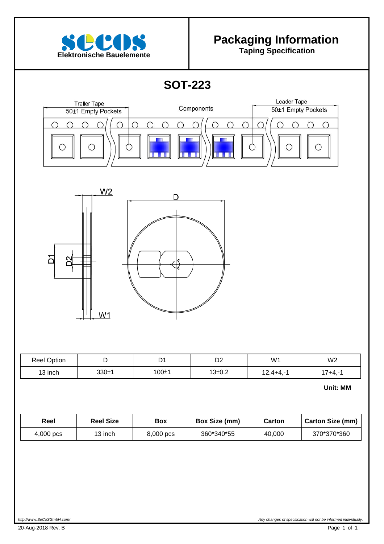

 $\overline{\phantom{a}}$ 

 $\overline{\phantom{a}}$ 

 $\overline{\phantom{a}}$ 

 $\overline{\phantom{a}}$ 

# **Packaging Information**

**SOT-223** 





| <b>Reel Option</b> |       | $\overline{\phantom{0}}$<br>້ | r o<br>◡▵           | W <sub>1</sub>                   | W <sub>2</sub> |
|--------------------|-------|-------------------------------|---------------------|----------------------------------|----------------|
| 13 inch            | 330±1 | 100±1                         | 13 <sub>±</sub> 0.2 | $124 + 4 -$<br>, 2. <del>.</del> | 7+4.-          |

**Unit: MM**

| Reel      | Reel Size | <b>Box</b> | Box Size (mm) | Carton | Carton Size (mm) |
|-----------|-----------|------------|---------------|--------|------------------|
| 4,000 pcs | 13 inch   | 8,000 pcs  | 360*340*55    | 40,000 | 370*370*360      |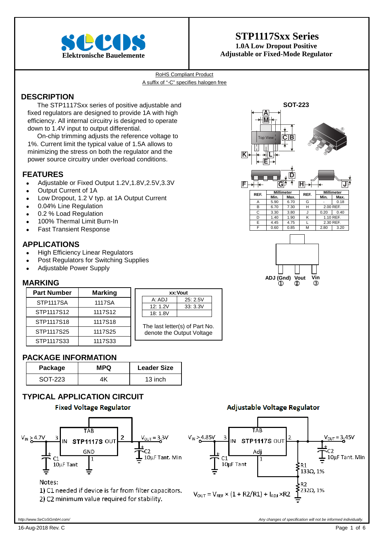

# **STP1117Sxx Series 1.0A Low Dropout Positive**

RoHS Compliant Product A suffix of "-C" specifies halogen free

### **DESCRIPTION**

The STP1117Sxx series of positive adjustable and fixed regulators are designed to provide 1A with high efficiency. All internal circuitry is designed to operate down to 1.4V input to output differential.

On-chip trimming adjusts the reference voltage to 1%. Current limit the typical value of 1.5A allows to minimizing the stress on both the regulator and the power source circuitry under overload conditions.

### **FEATURES**

- Adjustable or Fixed Output 1.2V,1.8V,2.5V,3.3V
- Output Current of 1A
- Low Dropout, 1.2 V typ. at 1A Output Current
- 0.04% Line Regulation
- 0.2 % Load Regulation
- 100% Thermal Limit Burn-In
- Fast Transient Response

### **APPLICATIONS**

- High Efficiency Linear Regulators
- Post Regulators for Switching Supplies
- Adjustable Power Supply

### **MARKING**

| <b>Part Number</b> | <b>Marking</b> |  |  |
|--------------------|----------------|--|--|
| <b>STP1117SA</b>   | 1117SA         |  |  |
| STP1117S12         | 1117S12        |  |  |
| STP1117S18         | 1117S18        |  |  |
| STP1117S25         | 1117S25        |  |  |
| STP1117S33         | 1117S33        |  |  |

| xx:Vout                                                     |         |  |  |  |  |
|-------------------------------------------------------------|---------|--|--|--|--|
| A: ADJ                                                      | 25:2.5V |  |  |  |  |
| 12:1.2V<br>33:3.3V                                          |         |  |  |  |  |
| 18: 1.8V                                                    |         |  |  |  |  |
| The last letter(s) of Part No.<br>denote the Output Voltage |         |  |  |  |  |

 $V_{IN} > 4.85V$ 

### **PACKAGE INFORMATION**

| Package | <b>MPQ</b> | <b>Leader Size</b> |
|---------|------------|--------------------|
| SOT-223 |            | 13 inch            |

### **TYPICAL APPLICATION CIRCUIT**





#### Notes:

1) C1 needed if device is far from filter capacitors. 2) C2 minimum value required for stability.

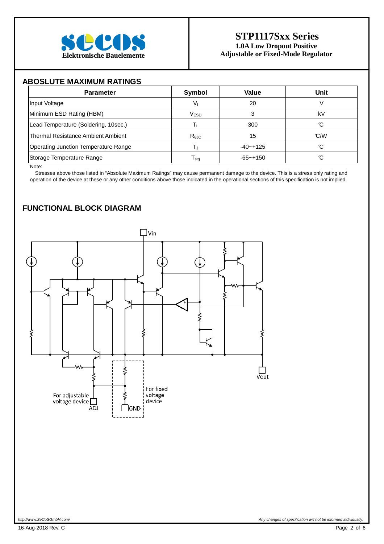

### **ABOSLUTE MAXIMUM RATINGS**

| <b>Parameter</b>                            | Symbol           | Value        | Unit |
|---------------------------------------------|------------------|--------------|------|
| Input Voltage                               | Vı               | 20           |      |
| Minimum ESD Rating (HBM)                    | <b>VESD</b>      |              | k٧   |
| Lead Temperature (Soldering, 10sec.)        |                  | 300          | C,   |
| Thermal Resistance Ambient Ambient          | $R_{\theta$ JC   | 15           | C/M  |
| <b>Operating Junction Temperature Range</b> |                  | $-40 - +125$ | C    |
| Storage Temperature Range                   | l <sub>stg</sub> | $-65 - +150$ |      |

Note:

Stresses above those listed in "Absolute Maximum Ratings" may cause permanent damage to the device. This is a stress only rating and operation of the device at these or any other conditions above those indicated in the operational sections of this specification is not implied.

## **FUNCTIONAL BLOCK DIAGRAM**

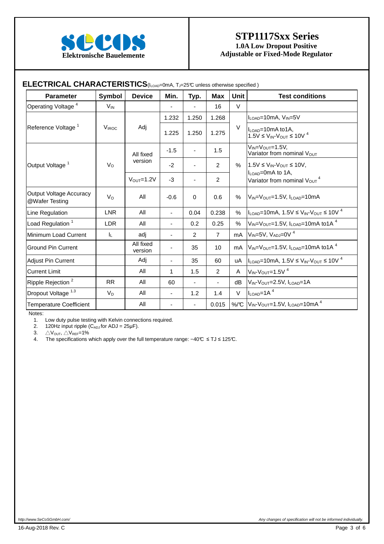

## **STP1117Sxx Series 1.0A Low Dropout Positive Elektronische Bauelemente** Adjustable or Fixed-Mode Regulator

| <b>Parameter</b>                                 | Symbol          | <b>Device</b>         | Min.                     | Typ.                     | <b>Max</b>               | <b>Unit</b> | <b>Test conditions</b>                                                                                    |  |
|--------------------------------------------------|-----------------|-----------------------|--------------------------|--------------------------|--------------------------|-------------|-----------------------------------------------------------------------------------------------------------|--|
| Operating Voltage <sup>4</sup>                   | $V_{\text{IN}}$ |                       |                          |                          | 16                       | $\vee$      |                                                                                                           |  |
|                                                  |                 |                       | 1.232                    | 1.250                    | 1.268                    |             | $I_{\text{LOAD}} = 10 \text{mA}$ , $V_{\text{IN}} = 5V$                                                   |  |
| Reference Voltage <sup>1</sup>                   | <b>VIROC</b>    | Adj                   | 1.225                    | 1.250                    | 1.275                    | $\vee$      | I <sub>LOAD</sub> =10mA to1A,<br>$1.5V \leq V_{IN} - V_{OUT} \leq 10V^4$                                  |  |
|                                                  |                 | All fixed             | $-1.5$                   |                          | 1.5                      |             | $V_{IN} = V_{OUT} = 1.5V$<br>Variator from nominal V <sub>OUT</sub>                                       |  |
| Output Voltage <sup>1</sup>                      | $V_{\rm O}$     | version               | $-2$                     | $\overline{\phantom{a}}$ | $\overline{2}$           | $\%$        | $1.5V \leq V_{IN}$ - $V_{OUT} \leq 10V$ ,                                                                 |  |
|                                                  |                 | $V_{\text{OUT}}=1.2V$ | -3                       | $\overline{\phantom{0}}$ | 2                        |             | $IL$ o <sub>AD</sub> =0mA to 1A,<br>Variator from nominal V <sub>OUT</sub> <sup>4</sup>                   |  |
| <b>Output Voltage Accuracy</b><br>@Wafer Testing | V <sub>o</sub>  | All                   | $-0.6$                   | 0                        | 0.6                      | %           | $V_{IN} = V_{OUT} = 1.5V$ , $I_{LOAD} = 10mA$                                                             |  |
| Line Regulation                                  | <b>LNR</b>      | All                   | $\overline{\phantom{a}}$ | 0.04                     | 0.238                    | %           | $I_{\text{LOAD}} = 10 \text{mA}, 1.5 \text{V} \leq V_{\text{IN}} \cdot V_{\text{OUT}} \leq 10 \text{V}^4$ |  |
| Load Regulation <sup>1</sup>                     | LDR.            | All                   |                          | 0.2                      | 0.25                     | $\%$        | $V_{IN} = V_{OUT} = 1.5V$ , $I_{LOAD} = 10$ mA to 1A <sup>4</sup>                                         |  |
| Minimum Load Current                             | IL.             | adj                   |                          | $\overline{2}$           | $\overline{7}$           | mA          | $V_{IN}$ =5V, $V_{AD}$ =0V <sup>4</sup>                                                                   |  |
| <b>Ground Pin Current</b>                        |                 | All fixed<br>version  |                          | 35                       | 10                       | mA          | $V_{IN} = V_{OUT} = 1.5V$ , $I_{LOAD} = 10$ mA to 1A <sup>4</sup>                                         |  |
| <b>Adjust Pin Current</b>                        |                 | Adj                   | ٠                        | 35                       | 60                       | uA          | $I_{\text{LOAD}} = 10 \text{mA}, 1.5 \text{V} \leq V_{\text{IN}} - V_{\text{OUT}} \leq 10 \text{V}^4$     |  |
| <b>Current Limit</b>                             |                 | All                   | 1                        | 1.5                      | 2                        | A           | $V_{IN}$ - $V_{OUT}$ =1.5V <sup>4</sup>                                                                   |  |
| Ripple Rejection <sup>2</sup>                    | <b>RR</b>       | All                   | 60                       | $\overline{\phantom{a}}$ | $\overline{\phantom{0}}$ | dB          | V <sub>IN</sub> -V <sub>OUT</sub> =2.5V, I <sub>LOAD</sub> =1A                                            |  |
| Dropout Voltage <sup>1.3</sup>                   | $V_D$           | All                   | ٠                        | 1.2                      | 1.4                      | V           | $I_{LOAD}$ =1A <sup>4</sup>                                                                               |  |
| <b>Temperature Coefficient</b>                   |                 | All                   |                          | $\blacksquare$           | 0.015                    |             | %/C $V_{IN}V_{OUT} = 1.5V$ , $I_{LOAD} = 10mA4$                                                           |  |

# **ELECTRICAL CHARACTERISTICS**(ILOMA, T. 25°C unless otherwise specified)

Notes:

1. Low duty pulse testing with Kelvin connections required.

2. 120Hz input ripple  $(C_{ADJ}$  for ADJ = 25 $\mu$ F).

3.  $\triangle V_{\text{OUT}}$ ,  $\triangle V_{\text{REF}}=1\%$ <br>4. The specifications \

The specifications which apply over the full temperature range: −40℃ ≤ TJ ≤ 125℃.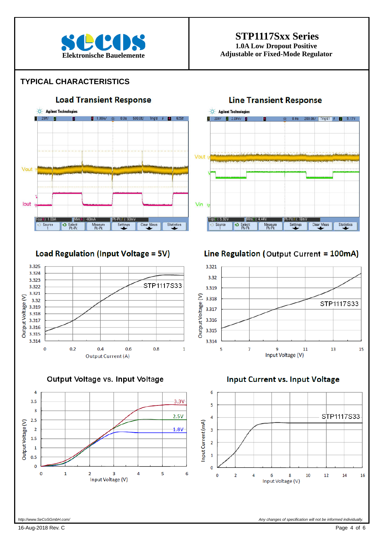

# **STP1117Sxx Series**

**1.0A Low Dropout Positive Elektronische Bauelemente** Adjustable or Fixed-Mode Regulator

### **TYPICAL CHARACTERISTICS**



Output Voltage (V)

3.318

3.317 3.316 3.315

3.314

5

7



Output Voltage vs. Input Voltage



### **Input Current vs. Input Voltage**

Input Voltage (V)

 $\mathbf{q}$ 

11



STP1117S33

13

15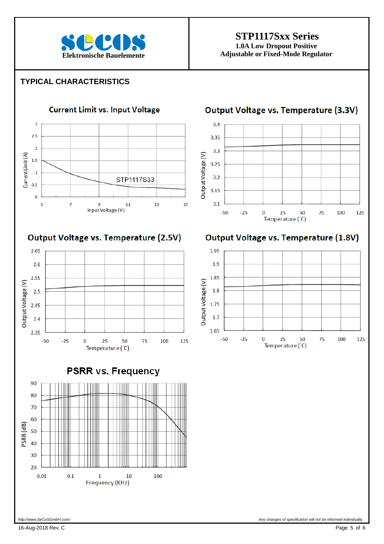

# **STP1117Sxx Series**

**1.0A Low Dropout Positive Elektronische Bauelemente** Adjustable or Fixed-Mode Regulator

### **TYPICAL CHARACTERISTICS**



Output Voltage vs. Temperature (2.5V)







# **Output Voltage vs. Temperature (3.3V)**



# **Output Voltage vs. Temperature (1.8V)**